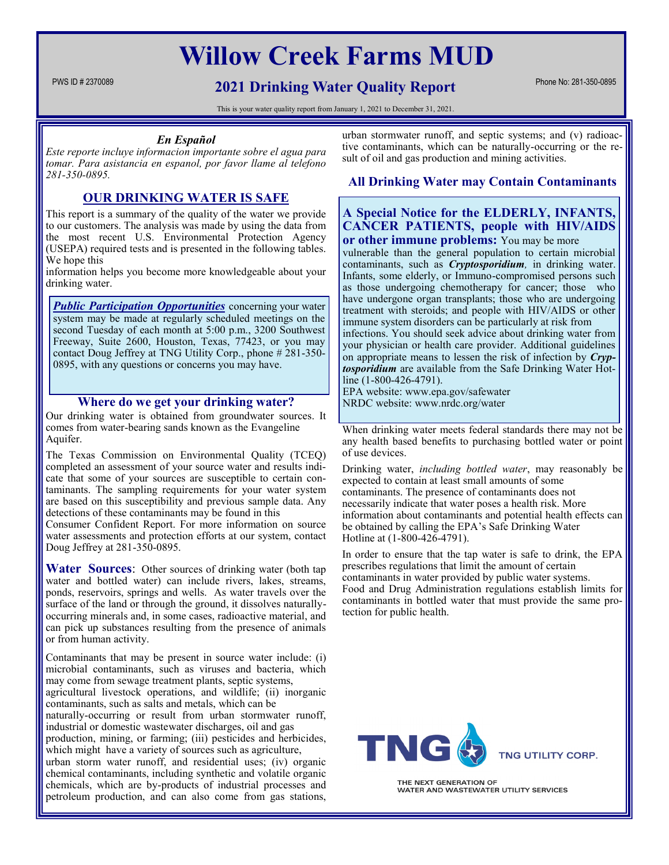# **Willow Creek Farms MUD**

# **PWS ID # 2370089 PWS ID # 2370089 Phone No: 281-350-0895 2021 Drinking Water Quality Report**

This is your water quality report from January 1, 2021 to December 31, 2021.

#### *En Español*

*Este reporte incluye informacion importante sobre el agua para tomar. Para asistancia en espanol, por favor llame al telefono 281-350-0895.*

### **OUR DRINKING WATER IS SAFE**

This report is a summary of the quality of the water we provide to our customers. The analysis was made by using the data from the most recent U.S. Environmental Protection Agency (USEPA) required tests and is presented in the following tables. We hope this

information helps you become more knowledgeable about your drinking water.

**Public Participation Opportunities** concerning your water system may be made at regularly scheduled meetings on the second Tuesday of each month at 5:00 p.m., 3200 Southwest Freeway, Suite 2600, Houston, Texas, 77423, or you may contact Doug Jeffrey at TNG Utility Corp., phone # 281-350- 0895, with any questions or concerns you may have.

#### **Where do we get your drinking water?**

Our drinking water is obtained from groundwater sources. It comes from water-bearing sands known as the Evangeline Aquifer.

The Texas Commission on Environmental Quality (TCEQ) completed an assessment of your source water and results indicate that some of your sources are susceptible to certain contaminants. The sampling requirements for your water system are based on this susceptibility and previous sample data. Any detections of these contaminants may be found in this

Consumer Confident Report. For more information on source water assessments and protection efforts at our system, contact Doug Jeffrey at 281-350-0895.

**Water Sources**: Other sources of drinking water (both tap water and bottled water) can include rivers, lakes, streams, ponds, reservoirs, springs and wells. As water travels over the surface of the land or through the ground, it dissolves naturallyoccurring minerals and, in some cases, radioactive material, and can pick up substances resulting from the presence of animals or from human activity.

Contaminants that may be present in source water include: (i) microbial contaminants, such as viruses and bacteria, which may come from sewage treatment plants, septic systems,

agricultural livestock operations, and wildlife; (ii) inorganic contaminants, such as salts and metals, which can be

naturally-occurring or result from urban stormwater runoff, industrial or domestic wastewater discharges, oil and gas

production, mining, or farming; (iii) pesticides and herbicides, which might have a variety of sources such as agriculture,

urban storm water runoff, and residential uses; (iv) organic chemical contaminants, including synthetic and volatile organic chemicals, which are by-products of industrial processes and petroleum production, and can also come from gas stations,

urban stormwater runoff, and septic systems; and (v) radioactive contaminants, which can be naturally-occurring or the result of oil and gas production and mining activities.

#### **All Drinking Water may Contain Contaminants**

#### **A Special Notice for the ELDERLY, INFANTS, CANCER PATIENTS, people with HIV/AIDS or other immune problems:** You may be more

vulnerable than the general population to certain microbial contaminants, such as *Cryptosporidium,* in drinking water. Infants, some elderly, or Immuno-compromised persons such as those undergoing chemotherapy for cancer; those who have undergone organ transplants; those who are undergoing treatment with steroids; and people with HIV/AIDS or other immune system disorders can be particularly at risk from infections. You should seek advice about drinking water from your physician or health care provider. Additional guidelines on appropriate means to lessen the risk of infection by *Cryptosporidium* are available from the Safe Drinking Water Hotline (1-800-426-4791). EPA website: www.epa.gov/safewater

NRDC website: www.nrdc.org/water

When drinking water meets federal standards there may not be any health based benefits to purchasing bottled water or point of use devices.

Drinking water, *including bottled water*, may reasonably be expected to contain at least small amounts of some contaminants. The presence of contaminants does not necessarily indicate that water poses a health risk. More information about contaminants and potential health effects can be obtained by calling the EPA's Safe Drinking Water Hotline at (1-800-426-4791).

In order to ensure that the tap water is safe to drink, the EPA prescribes regulations that limit the amount of certain contaminants in water provided by public water systems. Food and Drug Administration regulations establish limits for contaminants in bottled water that must provide the same protection for public health.



THE NEXT GENERATION OF WATER AND WASTEWATER UTILITY SERVICES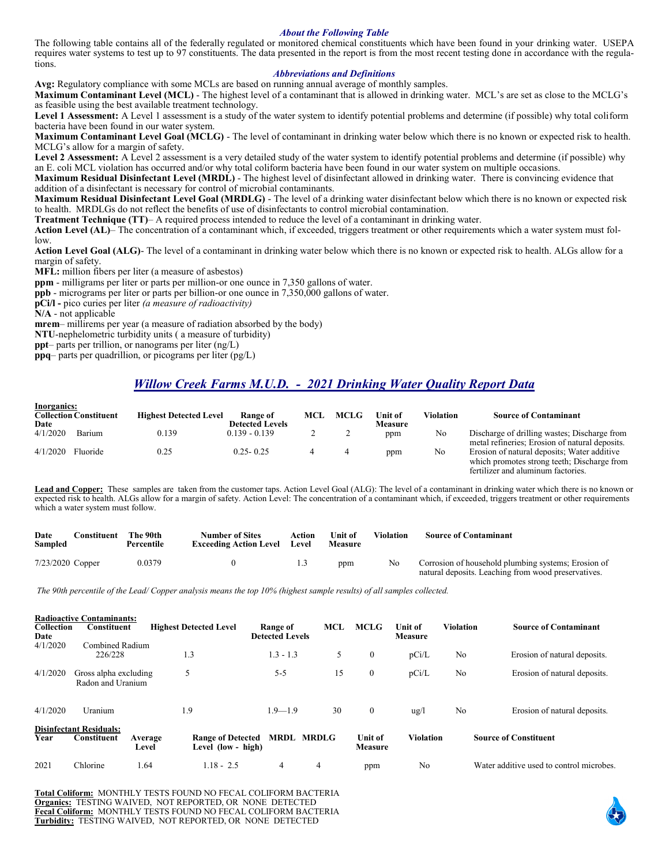#### *About the Following Table*

The following table contains all of the federally regulated or monitored chemical constituents which have been found in your drinking water. USEPA requires water systems to test up to 97 constituents. The data presented in the report is from the most recent testing done in accordance with the regulations.

#### *Abbreviations and Definitions*

**Avg:** Regulatory compliance with some MCLs are based on running annual average of monthly samples.

**Maximum Contaminant Level (MCL)** - The highest level of a contaminant that is allowed in drinking water. MCL's are set as close to the MCLG's as feasible using the best available treatment technology.

Level 1 Assessment: A Level 1 assessment is a study of the water system to identify potential problems and determine (if possible) why total coliform bacteria have been found in our water system.

**Maximum Contaminant Level Goal (MCLG)** - The level of contaminant in drinking water below which there is no known or expected risk to health. MCLG's allow for a margin of safety.

Level 2 Assessment: A Level 2 assessment is a very detailed study of the water system to identify potential problems and determine (if possible) why an E. coli MCL violation has occurred and/or why total coliform bacteria have been found in our water system on multiple occasions.

**Maximum Residual Disinfectant Level (MRDL)** - The highest level of disinfectant allowed in drinking water. There is convincing evidence that addition of a disinfectant is necessary for control of microbial contaminants.

**Maximum Residual Disinfectant Level Goal (MRDLG)** - The level of a drinking water disinfectant below which there is no known or expected risk to health. MRDLGs do not reflect the benefits of use of disinfectants to control microbial contamination.

**Treatment Technique (TT)**– A required process intended to reduce the level of a contaminant in drinking water.

**Action Level (AL)**– The concentration of a contaminant which, if exceeded, triggers treatment or other requirements which a water system must follow.

**Action Level Goal (ALG)**- The level of a contaminant in drinking water below which there is no known or expected risk to health. ALGs allow for a margin of safety.

**MFL:** million fibers per liter (a measure of asbestos)

**ppm** - milligrams per liter or parts per million-or one ounce in 7,350 gallons of water.

**ppb** - micrograms per liter or parts per billion-or one ounce in 7,350,000 gallons of water.

**pCi/l -** pico curies per liter *(a measure of radioactivity)* 

**N/A** - not applicable

**mrem**– millirems per year (a measure of radiation absorbed by the body)

**NTU**-nephelometric turbidity units ( a measure of turbidity)

**ppt**– parts per trillion, or nanograms per liter (ng/L)

**ppq**– parts per quadrillion, or picograms per liter (pg/L)

# *Willow Creek Farms M.U.D. - 2021 Drinking Water Quality Report Data*

| Inorganics:         |                               |                               |                        |     |             |                |           |                                                                                                                                  |
|---------------------|-------------------------------|-------------------------------|------------------------|-----|-------------|----------------|-----------|----------------------------------------------------------------------------------------------------------------------------------|
|                     | <b>Collection Constituent</b> | <b>Highest Detected Level</b> | Range of               | MCL | <b>MCLG</b> | <b>Unit of</b> | Violation | <b>Source of Contaminant</b>                                                                                                     |
| Date                |                               |                               | <b>Detected Levels</b> |     |             | Measure        |           |                                                                                                                                  |
| 4/1/2020            | <b>Barium</b>                 | 0.139                         | $0.139 - 0.139$        |     |             | ppm            | No        | Discharge of drilling wastes; Discharge from<br>metal refineries: Erosion of natural deposits.                                   |
| $4/1/2020$ Fluoride |                               | 0.25                          | $0.25 - 0.25$          |     |             | ppm            | No        | Erosion of natural deposits; Water additive<br>which promotes strong teeth; Discharge from<br>fertilizer and aluminum factories. |

**Lead and Copper:** These samples are taken from the customer taps. Action Level Goal (ALG): The level of a contaminant in drinking water which there is no known or expected risk to health. ALGs allow for a margin of safety. Action Level: The concentration of a contaminant which, if exceeded, triggers treatment or other requirements which a water system must follow.

| Date<br>Sampled    | Constituent | The 90th<br>Percentile | <b>Number of Sites</b><br><b>Exceeding Action Level</b> | Action<br>Level | Unit of<br><b>Measure</b> | Violation | <b>Source of Contaminant</b>                                                                               |
|--------------------|-------------|------------------------|---------------------------------------------------------|-----------------|---------------------------|-----------|------------------------------------------------------------------------------------------------------------|
| $7/23/2020$ Copper |             | 0.0379                 |                                                         |                 | ppm                       | No        | Corrosion of household plumbing systems; Erosion of<br>natural deposits. Leaching from wood preservatives. |

*The 90th percentile of the Lead/ Copper analysis means the top 10% (highest sample results) of all samples collected.*

|                   | <b>Radioactive Contaminants:</b> |         |                               |                        |                   |                |                |           |                                          |
|-------------------|----------------------------------|---------|-------------------------------|------------------------|-------------------|----------------|----------------|-----------|------------------------------------------|
| <b>Collection</b> | <b>Constituent</b>               |         | <b>Highest Detected Level</b> | Range of               | MCL               | <b>MCLG</b>    | <b>Unit of</b> | Violation | <b>Source of Contaminant</b>             |
| Date              |                                  |         |                               | <b>Detected Levels</b> |                   |                | <b>Measure</b> |           |                                          |
| 4/1/2020          | Combined Radium                  |         |                               |                        |                   |                |                |           |                                          |
|                   | 226/228                          |         | 1.3                           | $1.3 - 1.3$            | 5                 | $\theta$       | pCi/L          | No        | Erosion of natural deposits.             |
|                   |                                  |         |                               |                        |                   |                |                |           |                                          |
| 4/1/2020          | Gross alpha excluding            |         | 5                             | $5 - 5$                | 15                | $\theta$       | pCi/L          | No        | Erosion of natural deposits.             |
|                   | Radon and Uranium                |         |                               |                        |                   |                |                |           |                                          |
|                   |                                  |         |                               |                        |                   |                |                |           |                                          |
| 4/1/2020          | Uranium                          |         | 1.9                           | $1.9 - 1.9$            | 30                | $\mathbf{0}$   | $\frac{u}{g}$  | No        | Erosion of natural deposits.             |
|                   |                                  |         |                               |                        |                   |                |                |           |                                          |
|                   | <b>Disinfectant Residuals:</b>   |         |                               |                        |                   |                |                |           |                                          |
| Year              | Constituent                      | Average | <b>Range of Detected</b>      |                        | <b>MRDL MRDLG</b> | <b>Unit of</b> | Violation      |           | <b>Source of Constituent</b>             |
|                   |                                  | Level   | Level (low - high)            |                        |                   | <b>Measure</b> |                |           |                                          |
| 2021              | Chlorine                         | 1.64    | $1.18 - 2.5$                  | 4                      | 4                 | ppm            | No             |           | Water additive used to control microbes. |
|                   |                                  |         |                               |                        |                   |                |                |           |                                          |

**Total Coliform:** MONTHLY TESTS FOUND NO FECAL COLIFORM BACTERIA **Organics:** TESTING WAIVED, NOT REPORTED, OR NONE DETECTED **Fecal Coliform:** MONTHLY TESTS FOUND NO FECAL COLIFORM BACTERIA **Turbidity:** TESTING WAIVED, NOT REPORTED, OR NONE DETECTED